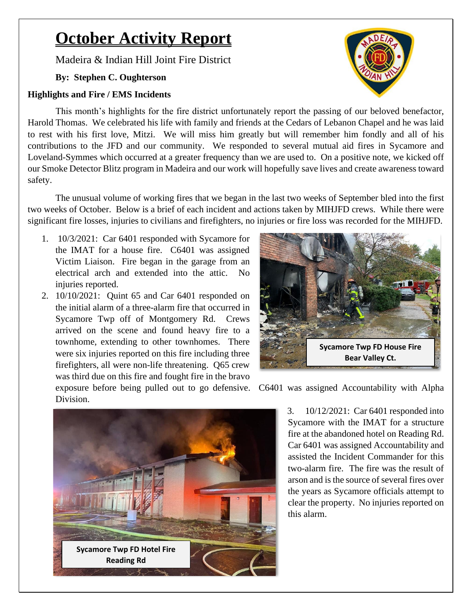# **October Activity Report**

Madeira & Indian Hill Joint Fire District

### **By: Stephen C. Oughterson**

#### **Highlights and Fire / EMS Incidents**

This month's highlights for the fire district unfortunately report the passing of our beloved benefactor, Harold Thomas. We celebrated his life with family and friends at the Cedars of Lebanon Chapel and he was laid to rest with his first love, Mitzi. We will miss him greatly but will remember him fondly and all of his contributions to the JFD and our community. We responded to several mutual aid fires in Sycamore and Loveland-Symmes which occurred at a greater frequency than we are used to. On a positive note, we kicked off our Smoke Detector Blitz program in Madeira and our work will hopefully save lives and create awareness toward safety.

The unusual volume of working fires that we began in the last two weeks of September bled into the first two weeks of October. Below is a brief of each incident and actions taken by MIHJFD crews. While there were significant fire losses, injuries to civilians and firefighters, no injuries or fire loss was recorded for the MIHJFD.

- 1. 10/3/2021: Car 6401 responded with Sycamore for the IMAT for a house fire. C6401 was assigned Victim Liaison. Fire began in the garage from an electrical arch and extended into the attic. No injuries reported.
- 2. 10/10/2021: Quint 65 and Car 6401 responded on the initial alarm of a three-alarm fire that occurred in Sycamore Twp off of Montgomery Rd. Crews arrived on the scene and found heavy fire to a townhome, extending to other townhomes. There were six injuries reported on this fire including three firefighters, all were non-life threatening. Q65 crew was third due on this fire and fought fire in the bravo



exposure before being pulled out to go defensive. C6401 was assigned Accountability with Alpha Division.



3. 10/12/2021: Car 6401 responded into Sycamore with the IMAT for a structure fire at the abandoned hotel on Reading Rd. Car 6401 was assigned Accountability and assisted the Incident Commander for this two-alarm fire. The fire was the result of arson and is the source of several fires over the years as Sycamore officials attempt to clear the property. No injuries reported on this alarm.

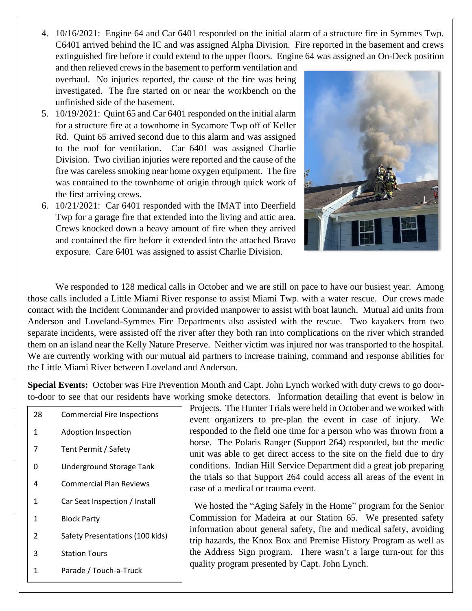4. 10/16/2021: Engine 64 and Car 6401 responded on the initial alarm of a structure fire in Symmes Twp. C6401 arrived behind the IC and was assigned Alpha Division. Fire reported in the basement and crews extinguished fire before it could extend to the upper floors. Engine 64 was assigned an On-Deck position

and then relieved crews in the basement to perform ventilation and overhaul. No injuries reported, the cause of the fire was being investigated. The fire started on or near the workbench on the unfinished side of the basement.

- 5. 10/19/2021: Quint 65 and Car 6401 responded on the initial alarm for a structure fire at a townhome in Sycamore Twp off of Keller Rd. Quint 65 arrived second due to this alarm and was assigned to the roof for ventilation. Car 6401 was assigned Charlie Division. Two civilian injuries were reported and the cause of the fire was careless smoking near home oxygen equipment. The fire was contained to the townhome of origin through quick work of the first arriving crews.
- 6. 10/21/2021: Car 6401 responded with the IMAT into Deerfield Twp for a garage fire that extended into the living and attic area. Crews knocked down a heavy amount of fire when they arrived and contained the fire before it extended into the attached Bravo exposure. Care 6401 was assigned to assist Charlie Division.



We responded to 128 medical calls in October and we are still on pace to have our busiest year. Among those calls included a Little Miami River response to assist Miami Twp. with a water rescue. Our crews made contact with the Incident Commander and provided manpower to assist with boat launch. Mutual aid units from Anderson and Loveland-Symmes Fire Departments also assisted with the rescue. Two kayakers from two separate incidents, were assisted off the river after they both ran into complications on the river which stranded them on an island near the Kelly Nature Preserve. Neither victim was injured nor was transported to the hospital. We are currently working with our mutual aid partners to increase training, command and response abilities for the Little Miami River between Loveland and Anderson.

**Special Events:** October was Fire Prevention Month and Capt. John Lynch worked with duty crews to go doorto-door to see that our residents have working smoke detectors. Information detailing that event is below in

 Commercial Fire Inspections Adoption Inspection Tent Permit / Safety Underground Storage Tank Commercial Plan Reviews Car Seat Inspection / Install Block Party Safety Presentations (100 kids) Station Tours Parade / Touch-a-Truck

Projects. The Hunter Trials were held in October and we worked with event organizers to pre-plan the event in case of injury. We responded to the field one time for a person who was thrown from a horse. The Polaris Ranger (Support 264) responded, but the medic unit was able to get direct access to the site on the field due to dry conditions. Indian Hill Service Department did a great job preparing the trials so that Support 264 could access all areas of the event in case of a medical or trauma event.

We hosted the "Aging Safely in the Home" program for the Senior Commission for Madeira at our Station 65. We presented safety information about general safety, fire and medical safety, avoiding trip hazards, the Knox Box and Premise History Program as well as the Address Sign program. There wasn't a large turn-out for this quality program presented by Capt. John Lynch.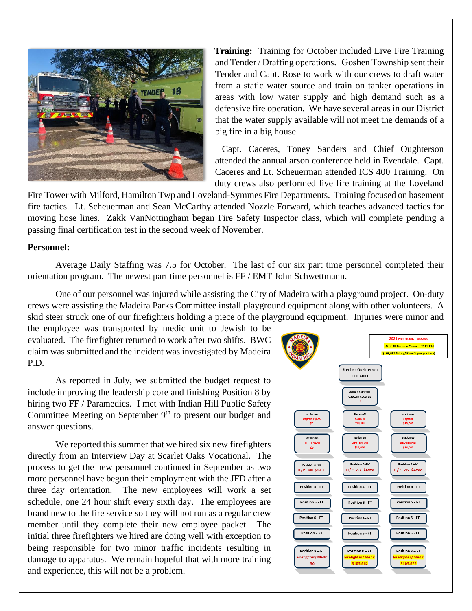

**Training:** Training for October included Live Fire Training and Tender / Drafting operations. Goshen Township sent their Tender and Capt. Rose to work with our crews to draft water from a static water source and train on tanker operations in areas with low water supply and high demand such as a defensive fire operation. We have several areas in our District that the water supply available will not meet the demands of a big fire in a big house.

Capt. Caceres, Toney Sanders and Chief Oughterson attended the annual arson conference held in Evendale. Capt. Caceres and Lt. Scheuerman attended ICS 400 Training. On duty crews also performed live fire training at the Loveland

Fire Tower with Milford, Hamilton Twp and Loveland-Symmes Fire Departments. Training focused on basement fire tactics. Lt. Scheuerman and Sean McCarthy attended Nozzle Forward, which teaches advanced tactics for moving hose lines. Zakk VanNottingham began Fire Safety Inspector class, which will complete pending a passing final certification test in the second week of November.

#### **Personnel:**

Average Daily Staffing was 7.5 for October. The last of our six part time personnel completed their orientation program. The newest part time personnel is FF / EMT John Schwettmann.

One of our personnel was injured while assisting the City of Madeira with a playground project. On-duty crews were assisting the Madeira Parks Committee install playground equipment along with other volunteers. A skid steer struck one of our firefighters holding a piece of the playground equipment. Injuries were minor and

the employee was transported by medic unit to Jewish to be evaluated. The firefighter returned to work after two shifts. BWC claim was submitted and the incident was investigated by Madeira P.D.

As reported in July, we submitted the budget request to include improving the leadership core and finishing Position 8 by hiring two FF / Paramedics. I met with Indian Hill Public Safety Committee Meeting on September 9<sup>th</sup> to present our budget and answer questions.

We reported this summer that we hired six new firefighters directly from an Interview Day at Scarlet Oaks Vocational. The process to get the new personnel continued in September as two more personnel have begun their employment with the JFD after a three day orientation. The new employees will work a set schedule, one 24 hour shift every sixth day. The employees are brand new to the fire service so they will not run as a regular crew member until they complete their new employee packet. The initial three firefighters we hired are doing well with exception to being responsible for two minor traffic incidents resulting in damage to apparatus. We remain hopeful that with more training and experience, this will not be a problem.

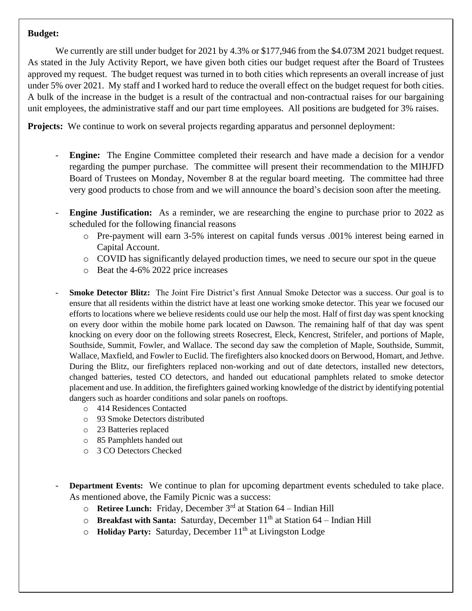#### **Budget:**

We currently are still under budget for 2021 by 4.3% or \$177,946 from the \$4.073M 2021 budget request. As stated in the July Activity Report, we have given both cities our budget request after the Board of Trustees approved my request. The budget request was turned in to both cities which represents an overall increase of just under 5% over 2021. My staff and I worked hard to reduce the overall effect on the budget request for both cities. A bulk of the increase in the budget is a result of the contractual and non-contractual raises for our bargaining unit employees, the administrative staff and our part time employees. All positions are budgeted for 3% raises.

**Projects:** We continue to work on several projects regarding apparatus and personnel deployment:

- **Engine:** The Engine Committee completed their research and have made a decision for a vendor regarding the pumper purchase. The committee will present their recommendation to the MIHJFD Board of Trustees on Monday, November 8 at the regular board meeting. The committee had three very good products to chose from and we will announce the board's decision soon after the meeting.
- **Engine Justification:** As a reminder, we are researching the engine to purchase prior to 2022 as scheduled for the following financial reasons
	- o Pre-payment will earn 3-5% interest on capital funds versus .001% interest being earned in Capital Account.
	- o COVID has significantly delayed production times, we need to secure our spot in the queue
	- o Beat the 4-6% 2022 price increases
- **Smoke Detector Blitz:** The Joint Fire District's first Annual Smoke Detector was a success. Our goal is to ensure that all residents within the district have at least one working smoke detector. This year we focused our efforts to locations where we believe residents could use our help the most. Half of first day was spent knocking on every door within the mobile home park located on Dawson. The remaining half of that day was spent knocking on every door on the following streets Rosecrest, Eleck, Kencrest, Strifeler, and portions of Maple, Southside, Summit, Fowler, and Wallace. The second day saw the completion of Maple, Southside, Summit, Wallace, Maxfield, and Fowler to Euclid. The firefighters also knocked doors on Berwood, Homart, and Jethve. During the Blitz, our firefighters replaced non-working and out of date detectors, installed new detectors, changed batteries, tested CO detectors, and handed out educational pamphlets related to smoke detector placement and use. In addition, the firefighters gained working knowledge of the district by identifying potential dangers such as hoarder conditions and solar panels on rooftops.
	- o 414 Residences Contacted
	- o 93 Smoke Detectors distributed
	- o 23 Batteries replaced
	- o 85 Pamphlets handed out
	- o 3 CO Detectors Checked
- **Department Events:** We continue to plan for upcoming department events scheduled to take place. As mentioned above, the Family Picnic was a success:
	- o **Retiree Lunch:** Friday, December 3rd at Station 64 Indian Hill
	- o **Breakfast with Santa:** Saturday, December 11<sup>th</sup> at Station 64 Indian Hill
	- o **Holiday Party:** Saturday, December 11<sup>th</sup> at Livingston Lodge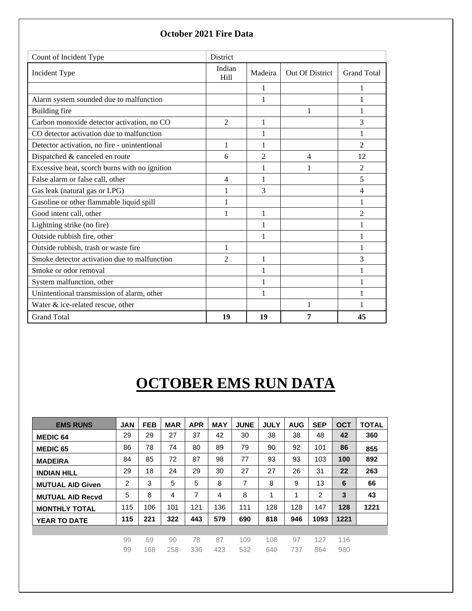| Count of Incident Type                        | <b>District</b> |                |                 |                    |
|-----------------------------------------------|-----------------|----------------|-----------------|--------------------|
| Incident Type                                 | Indian<br>Hill  | Madeira        | Out Of District | <b>Grand Total</b> |
|                                               |                 | 1              |                 | 1                  |
| Alarm system sounded due to malfunction       |                 | 1              |                 | 1                  |
| Building fire                                 |                 |                | 1               | 1                  |
| Carbon monoxide detector activation, no CO    | 2               | 1              |                 | 3                  |
| CO detector activation due to malfunction     |                 | 1              |                 | 1                  |
| Detector activation, no fire - unintentional  | 1               | 1              |                 | $\overline{c}$     |
| Dispatched & canceled en route                | 6               | $\mathfrak{D}$ | 4               | 12                 |
| Excessive heat, scorch burns with no ignition |                 | 1              | 1               | $\mathfrak{D}$     |
| False alarm or false call, other              | 4               |                |                 | 5                  |
| Gas leak (natural gas or LPG)                 | 1               | 3              |                 | 4                  |
| Gasoline or other flammable liquid spill      | 1               |                |                 | 1                  |
| Good intent call, other                       | 1               | 1              |                 | $\overline{2}$     |
| Lightning strike (no fire)                    |                 | 1              |                 | 1                  |
| Outside rubbish fire, other                   |                 |                |                 | 1                  |
| Outside rubbish, trash or waste fire          | 1               |                |                 | 1                  |
| Smoke detector activation due to malfunction  | $\mathfrak{D}$  | 1              |                 | 3                  |
| Smoke or odor removal                         |                 |                |                 | 1                  |
| System malfunction, other                     |                 |                |                 | 1                  |
| Unintentional transmission of alarm, other    |                 | 1              |                 | 1                  |
| Water & ice-related rescue, other             |                 |                | 1               | 1                  |
| <b>Grand Total</b>                            | 19              | 19             | 7               | 45                 |

### **October 2021 Fire Data**

## **OCTOBER EMS RUN DATA**

| <b>EMS RUNS</b>         | <b>JAN</b> | <b>FEB</b> | <b>MAR</b> | <b>APR</b> | <b>MAY</b> | <b>JUNE</b> | <b>JULY</b> | <b>AUG</b> | <b>SEP</b> | <b>OCT</b> | <b>TOTAL</b> |
|-------------------------|------------|------------|------------|------------|------------|-------------|-------------|------------|------------|------------|--------------|
| <b>MEDIC 64</b>         | 29         | 29         | 27         | 37         | 42         | 30          | 38          | 38         | 48         | 42         | 360          |
| <b>MEDIC 65</b>         | 86         | 78         | 74         | 80         | 89         | 79          | 90          | 92         | 101        | 86         | 855          |
| <b>MADEIRA</b>          | 84         | 85         | 72         | 87         | 98         | 77          | 93          | 93         | 103        | 100        | 892          |
| <b>INDIAN HILL</b>      | 29         | 18         | 24         | 29         | 30         | 27          | 27          | 26         | 31         | 22         | 263          |
| <b>MUTUAL AID Given</b> | 2          | 3          | 5          | 5          | 8          | 7           | 8           | 9          | 13         | 6          | 66           |
| <b>MUTUAL AID Recyd</b> | 5          | 8          | 4          | 7          | 4          | 8           | 1           | 1          | 2          | 3          | 43           |
| <b>MONTHLY TOTAL</b>    | 115        | 106        | 101        | 121        | 136        | 111         | 128         | 128        | 147        | 128        | 1221         |
| <b>YEAR TO DATE</b>     | 115        | 221        | 322        | 443        | 579        | 690         | 818         | 946        | 1093       | 1221       |              |
|                         |            |            |            |            |            |             |             |            |            |            |              |
|                         | 99         | 69         | 90         | 78         | 87         | 109         | 108         | 97         | 127        | 116        |              |
|                         | 99         | 168        | 258        | 336        | 423        | 532         | 640         | 737        | 864        | 980        |              |